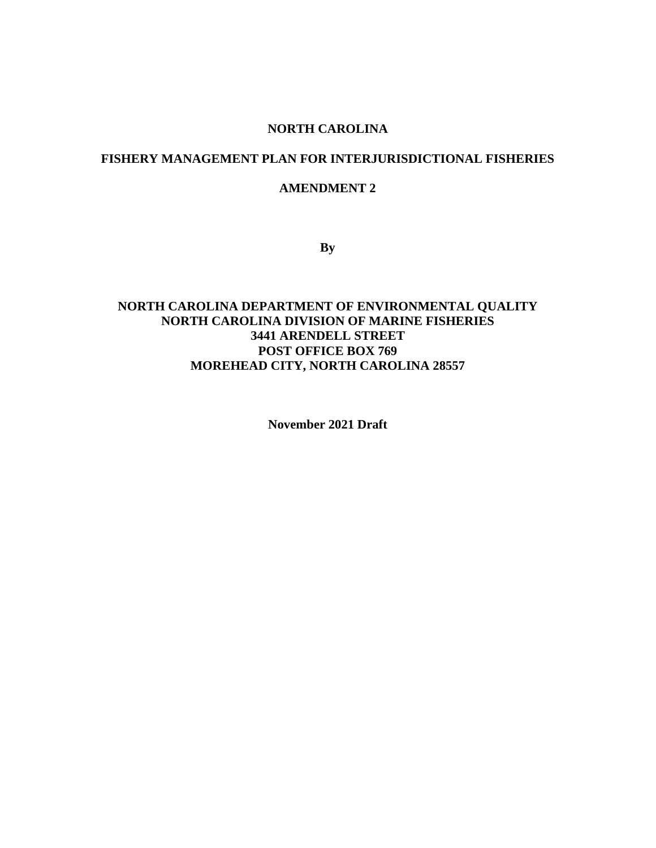### **NORTH CAROLINA**

### **FISHERY MANAGEMENT PLAN FOR INTERJURISDICTIONAL FISHERIES**

#### **AMENDMENT 2**

**By**

## **NORTH CAROLINA DEPARTMENT OF ENVIRONMENTAL QUALITY NORTH CAROLINA DIVISION OF MARINE FISHERIES 3441 ARENDELL STREET POST OFFICE BOX 769 MOREHEAD CITY, NORTH CAROLINA 28557**

**November 2021 Draft**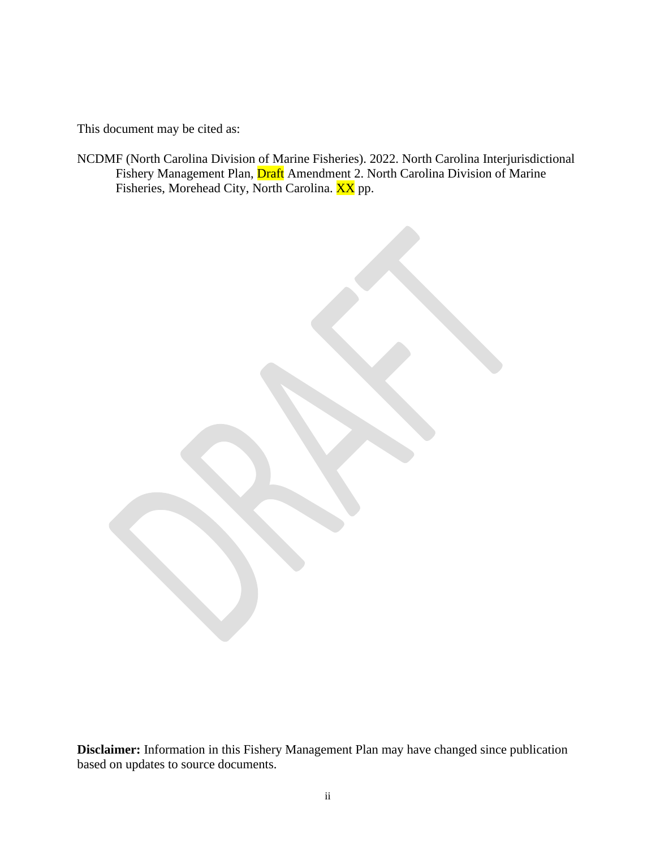This document may be cited as:

NCDMF (North Carolina Division of Marine Fisheries). 2022. North Carolina Interjurisdictional Fishery Management Plan, Draft Amendment 2. North Carolina Division of Marine Fisheries, Morehead City, North Carolina. XX pp.

**Disclaimer:** Information in this Fishery Management Plan may have changed since publication based on updates to source documents.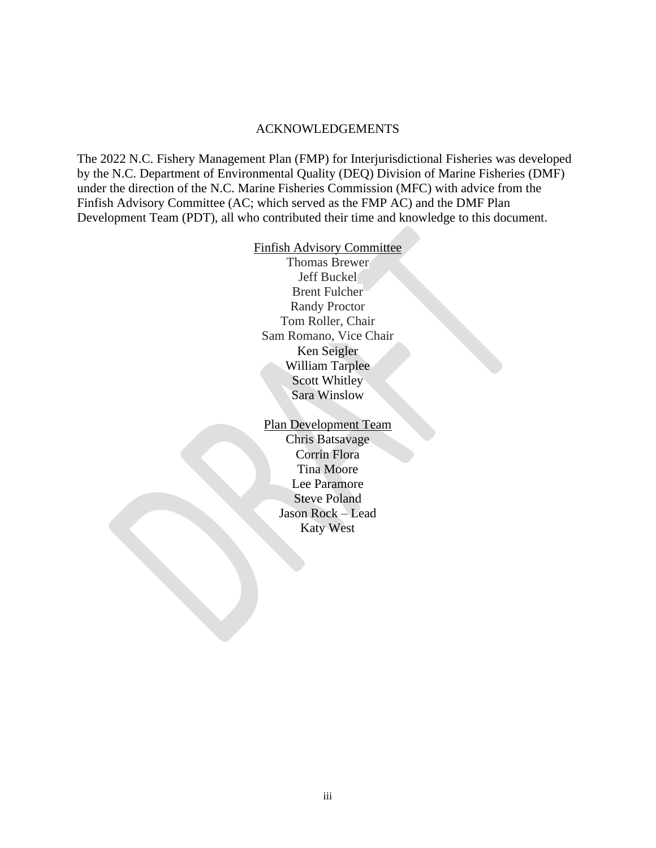#### ACKNOWLEDGEMENTS

The 2022 N.C. Fishery Management Plan (FMP) for Interjurisdictional Fisheries was developed by the N.C. Department of Environmental Quality (DEQ) Division of Marine Fisheries (DMF) under the direction of the N.C. Marine Fisheries Commission (MFC) with advice from the Finfish Advisory Committee (AC; which served as the FMP AC) and the DMF Plan Development Team (PDT), all who contributed their time and knowledge to this document.

#### Finfish Advisory Committee

Thomas Brewer Jeff Buckel Brent Fulcher Randy Proctor Tom Roller, Chair Sam Romano, Vice Chair Ken Seigler William Tarplee Scott Whitley Sara Winslow

Plan Development Team

Chris Batsavage Corrin Flora Tina Moore Lee Paramore Steve Poland Jason Rock – Lead Katy West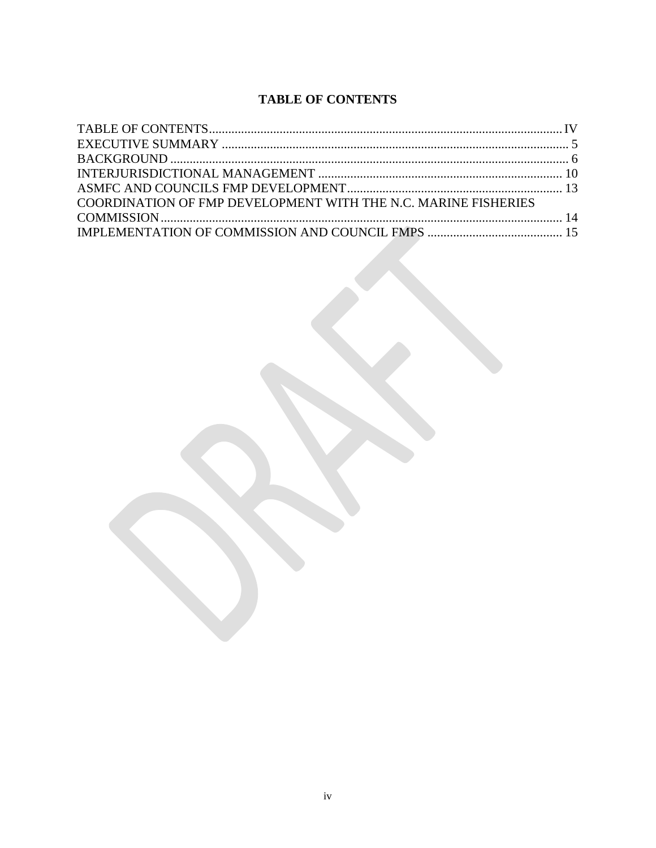# **TABLE OF CONTENTS**

<span id="page-3-0"></span>

| COORDINATION OF FMP DEVELOPMENT WITH THE N.C. MARINE FISHERIES |  |
|----------------------------------------------------------------|--|
|                                                                |  |
|                                                                |  |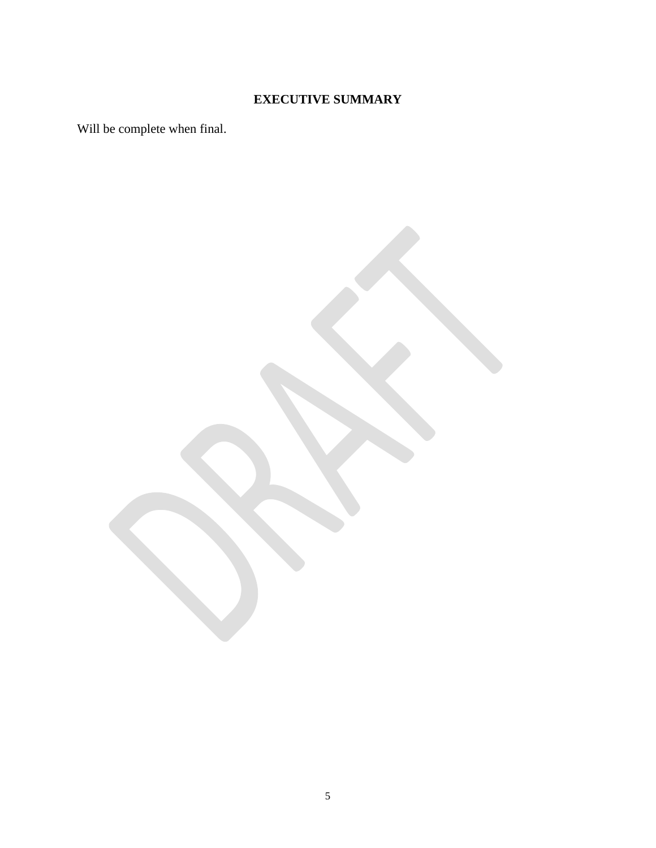# **EXECUTIVE SUMMARY**

<span id="page-4-0"></span>Will be complete when final.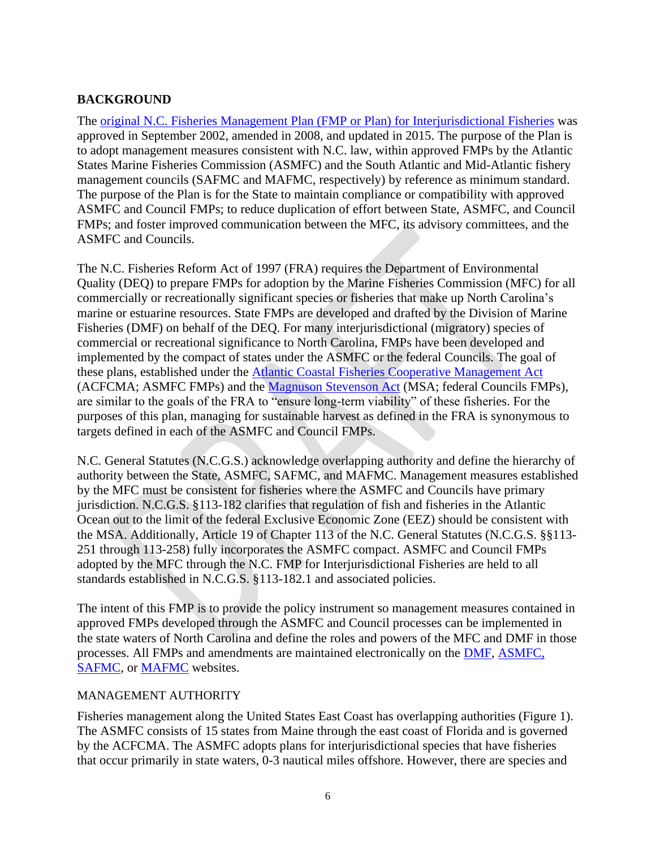# <span id="page-5-0"></span>**BACKGROUND**

The [original N.C. Fisheries Management Plan \(FMP](https://deq.nc.gov/about/divisions/marine-fisheries/public-information-and-education/managing-fisheries/fmp#interjurisdictional-species) or Plan) for Interjurisdictional Fisheries was approved in September 2002, amended in 2008, and updated in 2015. The purpose of the Plan is to adopt management measures consistent with N.C. law, within approved FMPs by the Atlantic States Marine Fisheries Commission (ASMFC) and the South Atlantic and Mid-Atlantic fishery management councils (SAFMC and MAFMC, respectively) by reference as minimum standard. The purpose of the Plan is for the State to maintain compliance or compatibility with approved ASMFC and Council FMPs; to reduce duplication of effort between State, ASMFC, and Council FMPs; and foster improved communication between the MFC, its advisory committees, and the ASMFC and Councils.

The N.C. Fisheries Reform Act of 1997 (FRA) requires the Department of Environmental Quality (DEQ) to prepare FMPs for adoption by the Marine Fisheries Commission (MFC) for all commercially or recreationally significant species or fisheries that make up North Carolina's marine or estuarine resources. State FMPs are developed and drafted by the Division of Marine Fisheries (DMF) on behalf of the DEQ. For many interjurisdictional (migratory) species of commercial or recreational significance to North Carolina, FMPs have been developed and implemented by the compact of states under the ASMFC or the federal Councils. The goal of these plans, established under the [Atlantic Coastal Fisheries Cooperative Management Act](http://www.asmfc.org/uploads/file/ACFCMA.pdf) (ACFCMA; ASMFC FMPs) and the [Magnuson Stevenson Act](https://www.fisheries.noaa.gov/resource/document/magnuson-stevens-fishery-conservation-and-management-act) (MSA; federal Councils FMPs), are similar to the goals of the FRA to "ensure long-term viability" of these fisheries. For the purposes of this plan, managing for sustainable harvest as defined in the FRA is synonymous to targets defined in each of the ASMFC and Council FMPs.

N.C. General Statutes (N.C.G.S.) acknowledge overlapping authority and define the hierarchy of authority between the State, ASMFC, SAFMC, and MAFMC. Management measures established by the MFC must be consistent for fisheries where the ASMFC and Councils have primary jurisdiction. N.C.G.S. §113-182 clarifies that regulation of fish and fisheries in the Atlantic Ocean out to the limit of the federal Exclusive Economic Zone (EEZ) should be consistent with the MSA. Additionally, Article 19 of Chapter 113 of the N.C. General Statutes (N.C.G.S. §§113- 251 through 113-258) fully incorporates the ASMFC compact. ASMFC and Council FMPs adopted by the MFC through the N.C. FMP for Interjurisdictional Fisheries are held to all standards established in N.C.G.S. §113-182.1 and associated policies.

The intent of this FMP is to provide the policy instrument so management measures contained in approved FMPs developed through the ASMFC and Council processes can be implemented in the state waters of North Carolina and define the roles and powers of the MFC and DMF in those processes. All FMPs and amendments are maintained electronically on the [DMF,](https://deq.nc.gov/about/divisions/marine-fisheries) [ASMFC,](http://www.asmfc.org/) [SAFMC,](https://safmc.net/) or [MAFMC](https://www.mafmc.org/) websites.

### MANAGEMENT AUTHORITY

Fisheries management along the United States East Coast has overlapping authorities (Figure 1). The ASMFC consists of 15 states from Maine through the east coast of Florida and is governed by the ACFCMA. The ASMFC adopts plans for interjurisdictional species that have fisheries that occur primarily in state waters, 0-3 nautical miles offshore. However, there are species and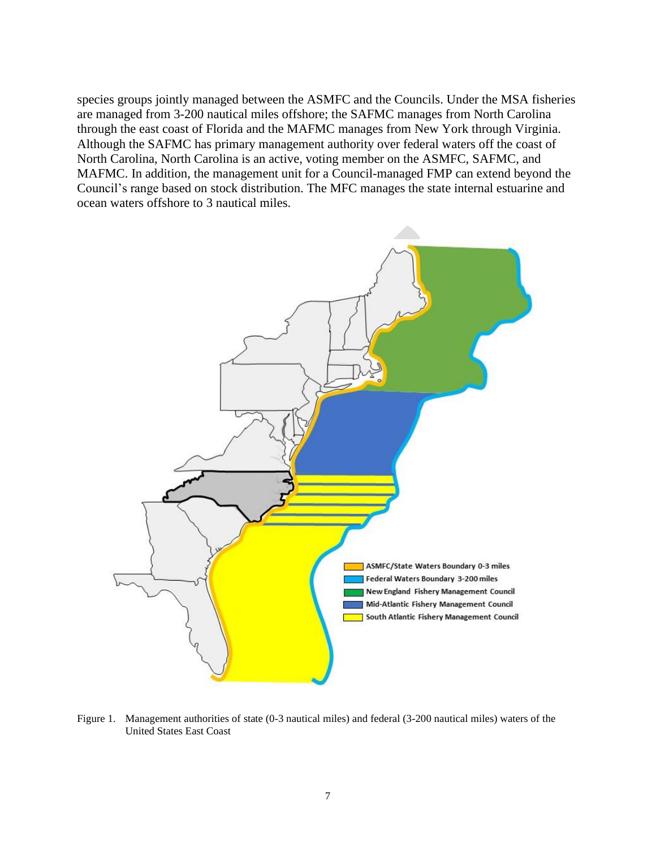species groups jointly managed between the ASMFC and the Councils. Under the MSA fisheries are managed from 3-200 nautical miles offshore; the SAFMC manages from North Carolina through the east coast of Florida and the MAFMC manages from New York through Virginia. Although the SAFMC has primary management authority over federal waters off the coast of North Carolina, North Carolina is an active, voting member on the ASMFC, SAFMC, and MAFMC. In addition, the management unit for a Council-managed FMP can extend beyond the Council's range based on stock distribution. The MFC manages the state internal estuarine and ocean waters offshore to 3 nautical miles.



Figure 1. Management authorities of state (0-3 nautical miles) and federal (3-200 nautical miles) waters of the United States East Coast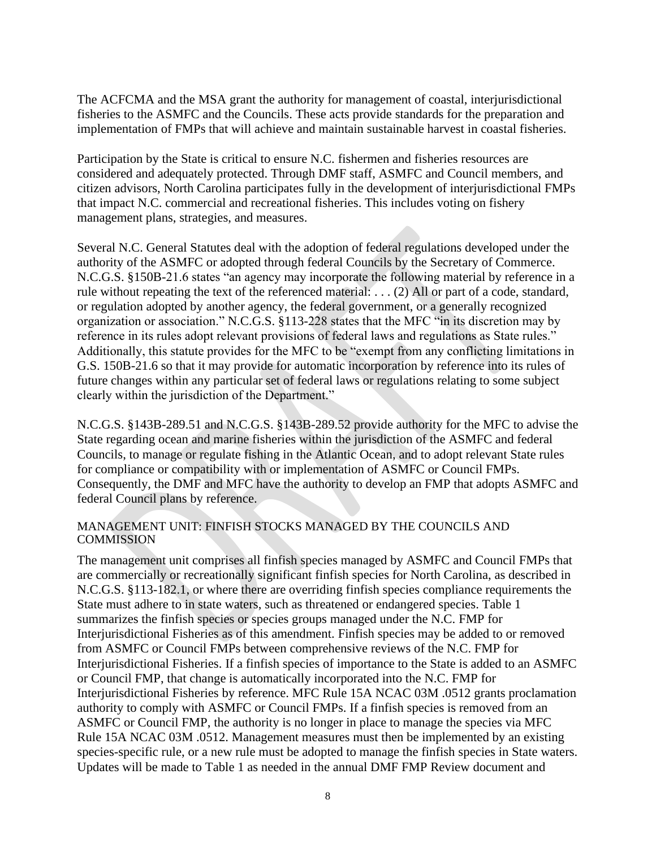The ACFCMA and the MSA grant the authority for management of coastal, interjurisdictional fisheries to the ASMFC and the Councils. These acts provide standards for the preparation and implementation of FMPs that will achieve and maintain sustainable harvest in coastal fisheries.

Participation by the State is critical to ensure N.C. fishermen and fisheries resources are considered and adequately protected. Through DMF staff, ASMFC and Council members, and citizen advisors, North Carolina participates fully in the development of interjurisdictional FMPs that impact N.C. commercial and recreational fisheries. This includes voting on fishery management plans, strategies, and measures.

Several N.C. General Statutes deal with the adoption of federal regulations developed under the authority of the ASMFC or adopted through federal Councils by the Secretary of Commerce. N.C.G.S. §150B-21.6 states "an agency may incorporate the following material by reference in a rule without repeating the text of the referenced material: . . . (2) All or part of a code, standard, or regulation adopted by another agency, the federal government, or a generally recognized organization or association." N.C.G.S. §113-228 states that the MFC "in its discretion may by reference in its rules adopt relevant provisions of federal laws and regulations as State rules." Additionally, this statute provides for the MFC to be "exempt from any conflicting limitations in G.S. 150B-21.6 so that it may provide for automatic incorporation by reference into its rules of future changes within any particular set of federal laws or regulations relating to some subject clearly within the jurisdiction of the Department."

N.C.G.S. §143B-289.51 and N.C.G.S. §143B-289.52 provide authority for the MFC to advise the State regarding ocean and marine fisheries within the jurisdiction of the ASMFC and federal Councils, to manage or regulate fishing in the Atlantic Ocean, and to adopt relevant State rules for compliance or compatibility with or implementation of ASMFC or Council FMPs. Consequently, the DMF and MFC have the authority to develop an FMP that adopts ASMFC and federal Council plans by reference.

### MANAGEMENT UNIT: FINFISH STOCKS MANAGED BY THE COUNCILS AND **COMMISSION**

The management unit comprises all finfish species managed by ASMFC and Council FMPs that are commercially or recreationally significant finfish species for North Carolina, as described in N.C.G.S. §113-182.1, or where there are overriding finfish species compliance requirements the State must adhere to in state waters, such as threatened or endangered species. Table 1 summarizes the finfish species or species groups managed under the N.C. FMP for Interjurisdictional Fisheries as of this amendment. Finfish species may be added to or removed from ASMFC or Council FMPs between comprehensive reviews of the N.C. FMP for Interjurisdictional Fisheries. If a finfish species of importance to the State is added to an ASMFC or Council FMP, that change is automatically incorporated into the N.C. FMP for Interjurisdictional Fisheries by reference. MFC Rule 15A NCAC 03M .0512 grants proclamation authority to comply with ASMFC or Council FMPs. If a finfish species is removed from an ASMFC or Council FMP, the authority is no longer in place to manage the species via MFC Rule 15A NCAC 03M .0512. Management measures must then be implemented by an existing species-specific rule, or a new rule must be adopted to manage the finfish species in State waters. Updates will be made to Table 1 as needed in the annual DMF FMP Review document and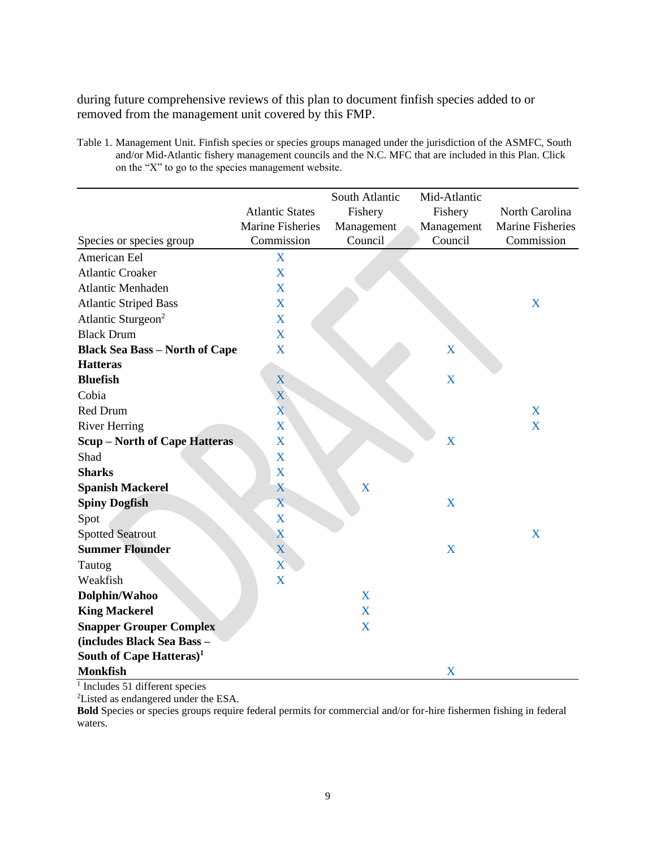during future comprehensive reviews of this plan to document finfish species added to or removed from the management unit covered by this FMP.

Table 1. Management Unit. Finfish species or species groups managed under the jurisdiction of the ASMFC, South and/or Mid-Atlantic fishery management councils and the N.C. MFC that are included in this Plan. Click on the "X" to go to the species management website.

|                                       |                         | South Atlantic | Mid-Atlantic |                         |
|---------------------------------------|-------------------------|----------------|--------------|-------------------------|
|                                       | <b>Atlantic States</b>  | Fishery        | Fishery      | North Carolina          |
|                                       | <b>Marine Fisheries</b> | Management     | Management   | <b>Marine Fisheries</b> |
| Species or species group              | Commission              | Council        | Council      | Commission              |
| American Eel                          | X                       |                |              |                         |
| <b>Atlantic Croaker</b>               | X                       |                |              |                         |
| <b>Atlantic Menhaden</b>              | X                       |                |              |                         |
| <b>Atlantic Striped Bass</b>          | X                       |                |              | X                       |
| Atlantic Sturgeon <sup>2</sup>        | X                       |                |              |                         |
| <b>Black Drum</b>                     | X                       |                |              |                         |
| <b>Black Sea Bass - North of Cape</b> | X                       |                | X            |                         |
| <b>Hatteras</b>                       |                         |                |              |                         |
| <b>Bluefish</b>                       | X                       |                | $\mathbf X$  |                         |
| Cobia                                 | X                       |                |              |                         |
| Red Drum                              | $\overline{\mathbf{X}}$ |                |              | X                       |
| <b>River Herring</b>                  | X                       |                |              | X                       |
| <b>Scup - North of Cape Hatteras</b>  | X                       |                | X            |                         |
| Shad                                  | X                       |                |              |                         |
| <b>Sharks</b>                         | X                       |                |              |                         |
| <b>Spanish Mackerel</b>               | X                       | X              |              |                         |
| <b>Spiny Dogfish</b>                  | $\overline{\mathbf{X}}$ |                | X            |                         |
| Spot                                  | X                       |                |              |                         |
| <b>Spotted Seatrout</b>               | X                       |                |              | X                       |
| <b>Summer Flounder</b>                | $\mathbf X$             |                | X            |                         |
| Tautog                                | X                       |                |              |                         |
| Weakfish                              | X                       |                |              |                         |
| Dolphin/Wahoo                         |                         | X              |              |                         |
| <b>King Mackerel</b>                  |                         | X              |              |                         |
| <b>Snapper Grouper Complex</b>        |                         | X              |              |                         |
| (includes Black Sea Bass -            |                         |                |              |                         |
| South of Cape Hatteras) <sup>1</sup>  |                         |                |              |                         |
| <b>Monkfish</b>                       |                         |                | X            |                         |

<sup>1</sup> Includes 51 different species <sup>2</sup>Listed as endangered under the ESA.

**Bold** Species or species groups require federal permits for commercial and/or for-hire fishermen fishing in federal waters.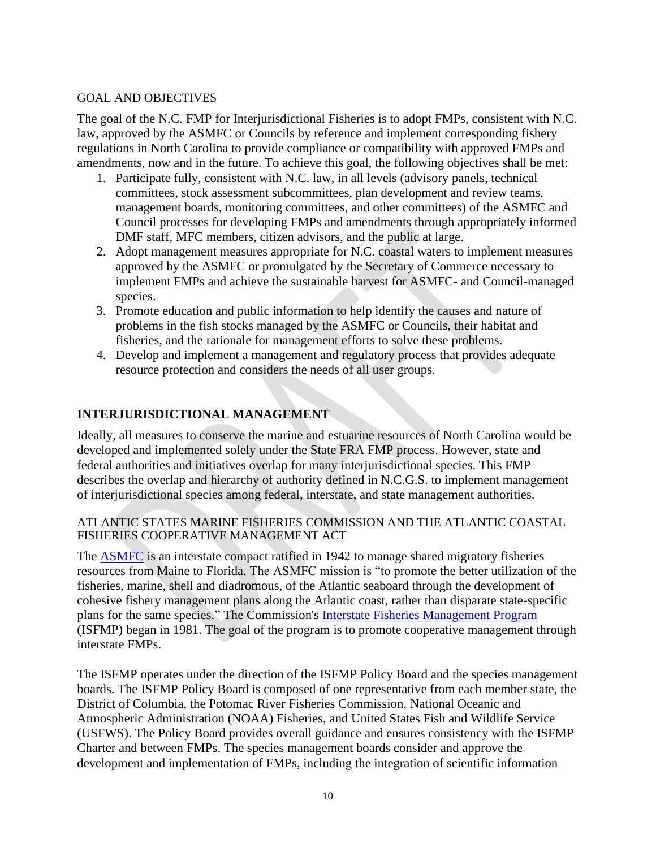### GOAL AND OBJECTIVES

The goal of the N.C. FMP for Interjurisdictional Fisheries is to adopt FMPs, consistent with N.C. law, approved by the ASMFC or Councils by reference and implement corresponding fishery regulations in North Carolina to provide compliance or compatibility with approved FMPs and amendments, now and in the future. To achieve this goal, the following objectives shall be met:

- 1. Participate fully, consistent with N.C. law, in all levels (advisory panels, technical committees, stock assessment subcommittees, plan development and review teams, management boards, monitoring committees, and other committees) of the ASMFC and Council processes for developing FMPs and amendments through appropriately informed DMF staff, MFC members, citizen advisors, and the public at large.
- 2. Adopt management measures appropriate for N.C. coastal waters to implement measures approved by the ASMFC or promulgated by the Secretary of Commerce necessary to implement FMPs and achieve the sustainable harvest for ASMFC- and Council-managed species.
- 3. Promote education and public information to help identify the causes and nature of problems in the fish stocks managed by the ASMFC or Councils, their habitat and fisheries, and the rationale for management efforts to solve these problems.
- 4. Develop and implement a management and regulatory process that provides adequate resource protection and considers the needs of all user groups.

# <span id="page-9-0"></span>**INTERJURISDICTIONAL MANAGEMENT**

Ideally, all measures to conserve the marine and estuarine resources of North Carolina would be developed and implemented solely under the State FRA FMP process. However, state and federal authorities and initiatives overlap for many interjurisdictional species. This FMP describes the overlap and hierarchy of authority defined in N.C.G.S. to implement management of interjurisdictional species among federal, interstate, and state management authorities.

### ATLANTIC STATES MARINE FISHERIES COMMISSION AND THE ATLANTIC COASTAL FISHERIES COOPERATIVE MANAGEMENT ACT

The [ASMFC](https://www.asmfc.org/) is an interstate compact ratified in 1942 to manage shared migratory fisheries resources from Maine to Florida. The ASMFC mission is "to promote the better utilization of the fisheries, marine, shell and diadromous, of the Atlantic seaboard through the development of cohesive fishery management plans along the Atlantic coast, rather than disparate state-specific plans for the same species." The Commission's [Interstate Fisheries Management Program](http://www.asmfc.org/fisheries-management/program-overview) (ISFMP) began in 1981. The goal of the program is to promote cooperative management through interstate FMPs.

The ISFMP operates under the direction of the ISFMP Policy Board and the species management boards. The ISFMP Policy Board is composed of one representative from each member state, the District of Columbia, the Potomac River Fisheries Commission, National Oceanic and Atmospheric Administration (NOAA) Fisheries, and United States Fish and Wildlife Service (USFWS). The Policy Board provides overall guidance and ensures consistency with the ISFMP Charter and between FMPs. The species management boards consider and approve the development and implementation of FMPs, including the integration of scientific information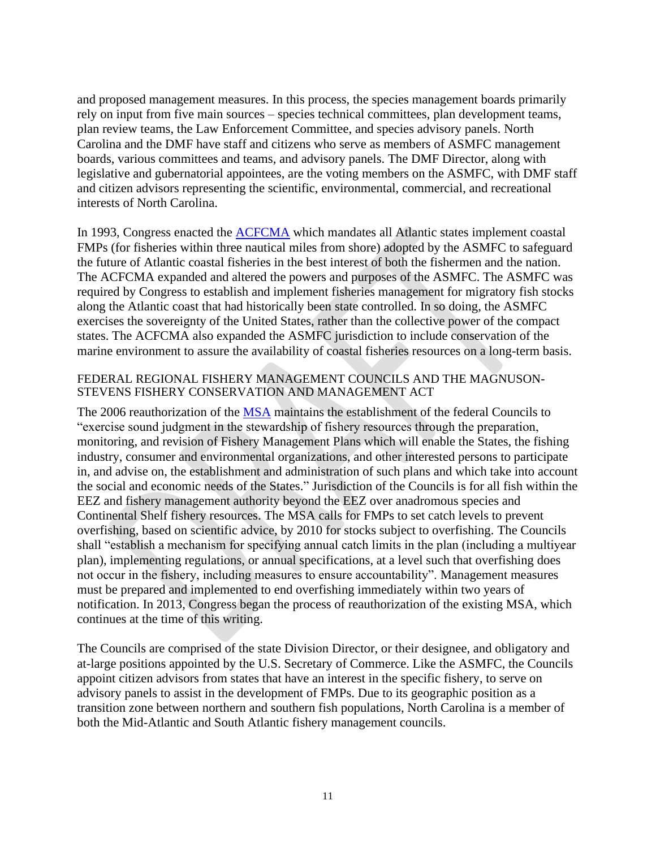and proposed management measures. In this process, the species management boards primarily rely on input from five main sources – species technical committees, plan development teams, plan review teams, the Law Enforcement Committee, and species advisory panels. North Carolina and the DMF have staff and citizens who serve as members of ASMFC management boards, various committees and teams, and advisory panels. The DMF Director, along with legislative and gubernatorial appointees, are the voting members on the ASMFC, with DMF staff and citizen advisors representing the scientific, environmental, commercial, and recreational interests of North Carolina.

In 1993, Congress enacted the **ACFCMA** which mandates all Atlantic states implement coastal FMPs (for fisheries within three nautical miles from shore) adopted by the ASMFC to safeguard the future of Atlantic coastal fisheries in the best interest of both the fishermen and the nation. The ACFCMA expanded and altered the powers and purposes of the ASMFC. The ASMFC was required by Congress to establish and implement fisheries management for migratory fish stocks along the Atlantic coast that had historically been state controlled. In so doing, the ASMFC exercises the sovereignty of the United States, rather than the collective power of the compact states. The ACFCMA also expanded the ASMFC jurisdiction to include conservation of the marine environment to assure the availability of coastal fisheries resources on a long-term basis.

### FEDERAL REGIONAL FISHERY MANAGEMENT COUNCILS AND THE MAGNUSON-STEVENS FISHERY CONSERVATION AND MANAGEMENT ACT

The 2006 reauthorization of the [MSA](https://www.fisheries.noaa.gov/resource/document/magnuson-stevens-fishery-conservation-and-management-act) maintains the establishment of the federal Councils to "exercise sound judgment in the stewardship of fishery resources through the preparation, monitoring, and revision of Fishery Management Plans which will enable the States, the fishing industry, consumer and environmental organizations, and other interested persons to participate in, and advise on, the establishment and administration of such plans and which take into account the social and economic needs of the States." Jurisdiction of the Councils is for all fish within the EEZ and fishery management authority beyond the EEZ over anadromous species and Continental Shelf fishery resources. The MSA calls for FMPs to set catch levels to prevent overfishing, based on scientific advice, by 2010 for stocks subject to overfishing. The Councils shall "establish a mechanism for specifying annual catch limits in the plan (including a multiyear plan), implementing regulations, or annual specifications, at a level such that overfishing does not occur in the fishery, including measures to ensure accountability". Management measures must be prepared and implemented to end overfishing immediately within two years of notification. In 2013, Congress began the process of reauthorization of the existing MSA, which continues at the time of this writing.

The Councils are comprised of the state Division Director, or their designee, and obligatory and at-large positions appointed by the U.S. Secretary of Commerce. Like the ASMFC, the Councils appoint citizen advisors from states that have an interest in the specific fishery, to serve on advisory panels to assist in the development of FMPs. Due to its geographic position as a transition zone between northern and southern fish populations, North Carolina is a member of both the Mid-Atlantic and South Atlantic fishery management councils.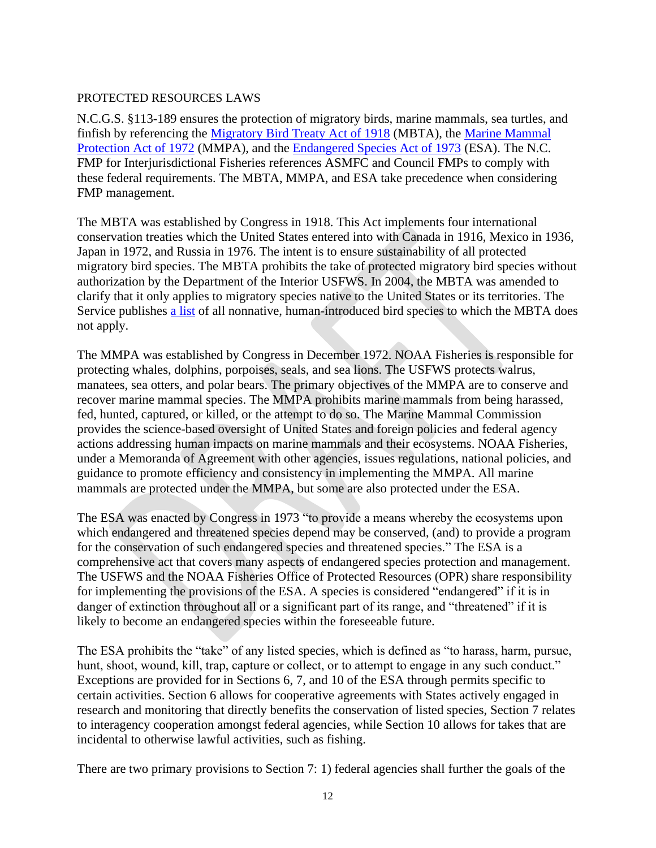### PROTECTED RESOURCES LAWS

N.C.G.S. §113-189 ensures the protection of migratory birds, marine mammals, sea turtles, and finfish by referencing the [Migratory Bird Treaty Act of 1918](https://www.fws.gov/birds/policies-and-regulations/laws-legislations/migratory-bird-treaty-act.php) (MBTA), the [Marine Mammal](https://www.fisheries.noaa.gov/topic/laws-policies#marine-mammal-protection-act)  [Protection Act of 1972](https://www.fisheries.noaa.gov/topic/laws-policies#marine-mammal-protection-act) (MMPA), and the [Endangered Species Act of 1973](https://www.fisheries.noaa.gov/national/endangered-species-conservation/endangered-species-act) (ESA). The N.C. FMP for Interjurisdictional Fisheries references ASMFC and Council FMPs to comply with these federal requirements. The MBTA, MMPA, and ESA take precedence when considering FMP management.

The MBTA was established by Congress in 1918. This Act implements four international conservation treaties which the United States entered into with Canada in 1916, Mexico in 1936, Japan in 1972, and Russia in 1976. The intent is to ensure sustainability of all protected migratory bird species. The MBTA prohibits the take of protected migratory bird species without authorization by the Department of the Interior USFWS. In 2004, the MBTA was amended to clarify that it only applies to migratory species native to the United States or its territories. The Service publishes [a list](https://www.fws.gov/birds/management/managed-species/migratory-bird-treaty-act-protected-species.php) of all nonnative, human-introduced bird species to which the MBTA does not apply.

The MMPA was established by Congress in December 1972. NOAA Fisheries is responsible for protecting whales, dolphins, porpoises, seals, and sea lions. The USFWS protects walrus, manatees, sea otters, and polar bears. The primary objectives of the MMPA are to conserve and recover marine mammal species. The MMPA prohibits marine mammals from being harassed, fed, hunted, captured, or killed, or the attempt to do so. The Marine Mammal Commission provides the science-based oversight of United States and foreign policies and federal agency actions addressing human impacts on marine mammals and their ecosystems. NOAA Fisheries, under a Memoranda of Agreement with other agencies, issues regulations, national policies, and guidance to promote efficiency and consistency in implementing the MMPA. All marine mammals are protected under the MMPA, but some are also protected under the ESA.

The ESA was enacted by Congress in 1973 "to provide a means whereby the ecosystems upon which endangered and threatened species depend may be conserved, (and) to provide a program for the conservation of such endangered species and threatened species." The ESA is a comprehensive act that covers many aspects of endangered species protection and management. The USFWS and the NOAA Fisheries Office of Protected Resources (OPR) share responsibility for implementing the provisions of the ESA. A species is considered "endangered" if it is in danger of extinction throughout all or a significant part of its range, and "threatened" if it is likely to become an endangered species within the foreseeable future.

The ESA prohibits the "take" of any listed species, which is defined as "to harass, harm, pursue, hunt, shoot, wound, kill, trap, capture or collect, or to attempt to engage in any such conduct." Exceptions are provided for in Sections 6, 7, and 10 of the ESA through permits specific to certain activities. Section 6 allows for cooperative agreements with States actively engaged in research and monitoring that directly benefits the conservation of listed species, Section 7 relates to interagency cooperation amongst federal agencies, while Section 10 allows for takes that are incidental to otherwise lawful activities, such as fishing.

There are two primary provisions to Section 7: 1) federal agencies shall further the goals of the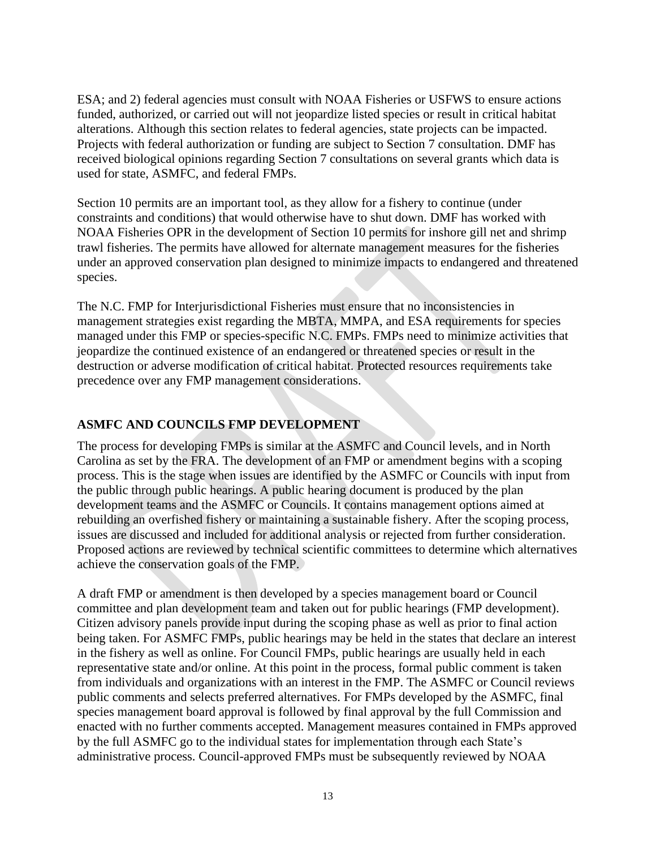ESA; and 2) federal agencies must consult with NOAA Fisheries or USFWS to ensure actions funded, authorized, or carried out will not jeopardize listed species or result in critical habitat alterations. Although this section relates to federal agencies, state projects can be impacted. Projects with federal authorization or funding are subject to Section 7 consultation. DMF has received biological opinions regarding Section 7 consultations on several grants which data is used for state, ASMFC, and federal FMPs.

Section 10 permits are an important tool, as they allow for a fishery to continue (under constraints and conditions) that would otherwise have to shut down. DMF has worked with NOAA Fisheries OPR in the development of Section 10 permits for inshore gill net and shrimp trawl fisheries. The permits have allowed for alternate management measures for the fisheries under an approved conservation plan designed to minimize impacts to endangered and threatened species.

The N.C. FMP for Interjurisdictional Fisheries must ensure that no inconsistencies in management strategies exist regarding the MBTA, MMPA, and ESA requirements for species managed under this FMP or species-specific N.C. FMPs. FMPs need to minimize activities that jeopardize the continued existence of an endangered or threatened species or result in the destruction or adverse modification of critical habitat. Protected resources requirements take precedence over any FMP management considerations.

# <span id="page-12-0"></span>**ASMFC AND COUNCILS FMP DEVELOPMENT**

The process for developing FMPs is similar at the ASMFC and Council levels, and in North Carolina as set by the FRA. The development of an FMP or amendment begins with a scoping process. This is the stage when issues are identified by the ASMFC or Councils with input from the public through public hearings. A public hearing document is produced by the plan development teams and the ASMFC or Councils. It contains management options aimed at rebuilding an overfished fishery or maintaining a sustainable fishery. After the scoping process, issues are discussed and included for additional analysis or rejected from further consideration. Proposed actions are reviewed by technical scientific committees to determine which alternatives achieve the conservation goals of the FMP.

A draft FMP or amendment is then developed by a species management board or Council committee and plan development team and taken out for public hearings (FMP development). Citizen advisory panels provide input during the scoping phase as well as prior to final action being taken. For ASMFC FMPs, public hearings may be held in the states that declare an interest in the fishery as well as online. For Council FMPs, public hearings are usually held in each representative state and/or online. At this point in the process, formal public comment is taken from individuals and organizations with an interest in the FMP. The ASMFC or Council reviews public comments and selects preferred alternatives. For FMPs developed by the ASMFC, final species management board approval is followed by final approval by the full Commission and enacted with no further comments accepted. Management measures contained in FMPs approved by the full ASMFC go to the individual states for implementation through each State's administrative process. Council-approved FMPs must be subsequently reviewed by NOAA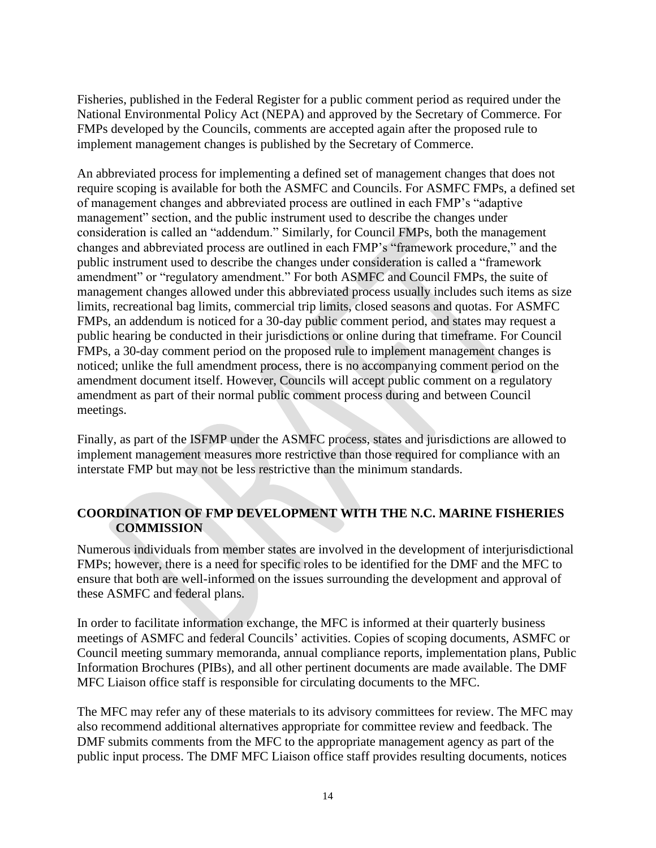Fisheries, published in the Federal Register for a public comment period as required under the National Environmental Policy Act (NEPA) and approved by the Secretary of Commerce. For FMPs developed by the Councils, comments are accepted again after the proposed rule to implement management changes is published by the Secretary of Commerce.

An abbreviated process for implementing a defined set of management changes that does not require scoping is available for both the ASMFC and Councils. For ASMFC FMPs, a defined set of management changes and abbreviated process are outlined in each FMP's "adaptive management" section, and the public instrument used to describe the changes under consideration is called an "addendum." Similarly, for Council FMPs, both the management changes and abbreviated process are outlined in each FMP's "framework procedure," and the public instrument used to describe the changes under consideration is called a "framework amendment" or "regulatory amendment." For both ASMFC and Council FMPs, the suite of management changes allowed under this abbreviated process usually includes such items as size limits, recreational bag limits, commercial trip limits, closed seasons and quotas. For ASMFC FMPs, an addendum is noticed for a 30-day public comment period, and states may request a public hearing be conducted in their jurisdictions or online during that timeframe. For Council FMPs, a 30-day comment period on the proposed rule to implement management changes is noticed; unlike the full amendment process, there is no accompanying comment period on the amendment document itself. However, Councils will accept public comment on a regulatory amendment as part of their normal public comment process during and between Council meetings.

Finally, as part of the ISFMP under the ASMFC process, states and jurisdictions are allowed to implement management measures more restrictive than those required for compliance with an interstate FMP but may not be less restrictive than the minimum standards.

## <span id="page-13-0"></span>**COORDINATION OF FMP DEVELOPMENT WITH THE N.C. MARINE FISHERIES COMMISSION**

Numerous individuals from member states are involved in the development of interjurisdictional FMPs; however, there is a need for specific roles to be identified for the DMF and the MFC to ensure that both are well-informed on the issues surrounding the development and approval of these ASMFC and federal plans.

In order to facilitate information exchange, the MFC is informed at their quarterly business meetings of ASMFC and federal Councils' activities. Copies of scoping documents, ASMFC or Council meeting summary memoranda, annual compliance reports, implementation plans, Public Information Brochures (PIBs), and all other pertinent documents are made available. The DMF MFC Liaison office staff is responsible for circulating documents to the MFC.

The MFC may refer any of these materials to its advisory committees for review. The MFC may also recommend additional alternatives appropriate for committee review and feedback. The DMF submits comments from the MFC to the appropriate management agency as part of the public input process. The DMF MFC Liaison office staff provides resulting documents, notices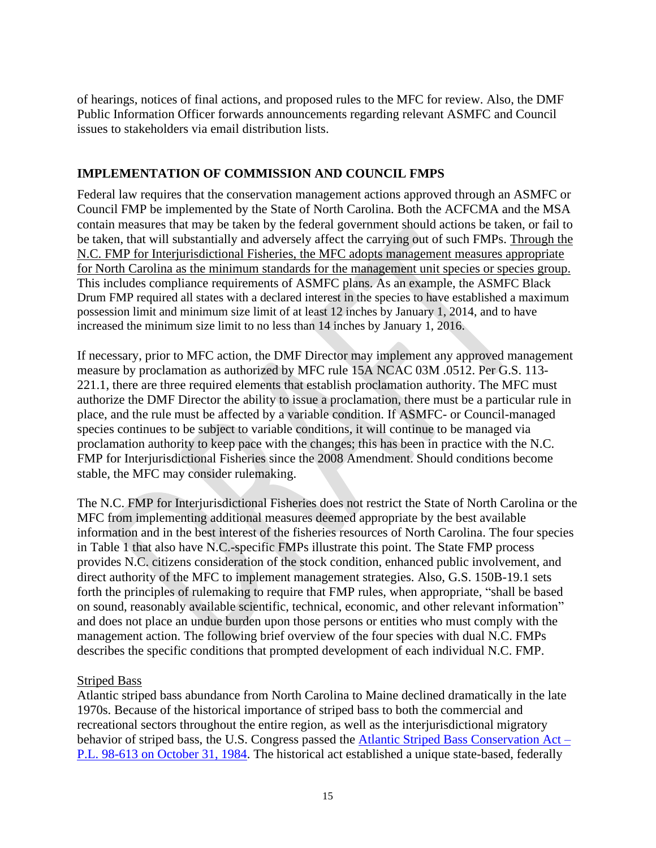of hearings, notices of final actions, and proposed rules to the MFC for review. Also, the DMF Public Information Officer forwards announcements regarding relevant ASMFC and Council issues to stakeholders via email distribution lists.

## <span id="page-14-0"></span>**IMPLEMENTATION OF COMMISSION AND COUNCIL FMPS**

Federal law requires that the conservation management actions approved through an ASMFC or Council FMP be implemented by the State of North Carolina. Both the ACFCMA and the MSA contain measures that may be taken by the federal government should actions be taken, or fail to be taken, that will substantially and adversely affect the carrying out of such FMPs. Through the N.C. FMP for Interjurisdictional Fisheries, the MFC adopts management measures appropriate for North Carolina as the minimum standards for the management unit species or species group. This includes compliance requirements of ASMFC plans. As an example, the ASMFC Black Drum FMP required all states with a declared interest in the species to have established a maximum possession limit and minimum size limit of at least 12 inches by January 1, 2014, and to have increased the minimum size limit to no less than 14 inches by January 1, 2016.

If necessary, prior to MFC action, the DMF Director may implement any approved management measure by proclamation as authorized by MFC rule 15A NCAC 03M .0512. Per G.S. 113- 221.1, there are three required elements that establish proclamation authority. The MFC must authorize the DMF Director the ability to issue a proclamation, there must be a particular rule in place, and the rule must be affected by a variable condition. If ASMFC- or Council-managed species continues to be subject to variable conditions, it will continue to be managed via proclamation authority to keep pace with the changes; this has been in practice with the N.C. FMP for Interjurisdictional Fisheries since the 2008 Amendment. Should conditions become stable, the MFC may consider rulemaking.

The N.C. FMP for Interjurisdictional Fisheries does not restrict the State of North Carolina or the MFC from implementing additional measures deemed appropriate by the best available information and in the best interest of the fisheries resources of North Carolina. The four species in Table 1 that also have N.C.-specific FMPs illustrate this point. The State FMP process provides N.C. citizens consideration of the stock condition, enhanced public involvement, and direct authority of the MFC to implement management strategies. Also, G.S. 150B-19.1 sets forth the principles of rulemaking to require that FMP rules, when appropriate, "shall be based on sound, reasonably available scientific, technical, economic, and other relevant information" and does not place an undue burden upon those persons or entities who must comply with the management action. The following brief overview of the four species with dual N.C. FMPs describes the specific conditions that prompted development of each individual N.C. FMP.

## Striped Bass

Atlantic striped bass abundance from North Carolina to Maine declined dramatically in the late 1970s. Because of the historical importance of striped bass to both the commercial and recreational sectors throughout the entire region, as well as the interjurisdictional migratory behavior of striped bass, the U.S. Congress passed the [Atlantic Striped Bass Conservation Act –](http://uscode.house.gov/statutes/pl/98/613.pdf) [P.L. 98-613 on October 31, 1984.](http://uscode.house.gov/statutes/pl/98/613.pdf) The historical act established a unique state-based, federally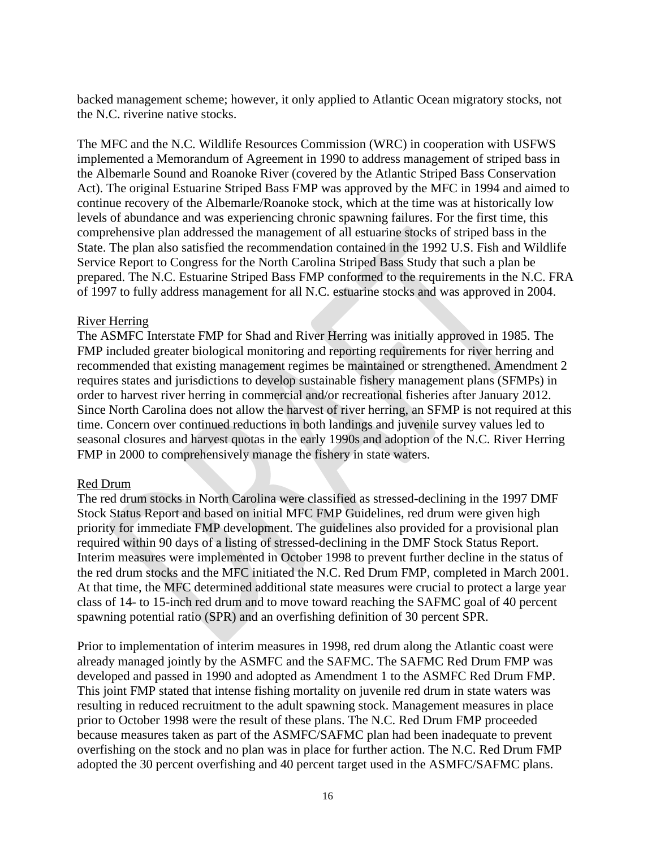backed management scheme; however, it only applied to Atlantic Ocean migratory stocks, not the N.C. riverine native stocks.

The MFC and the N.C. Wildlife Resources Commission (WRC) in cooperation with USFWS implemented a Memorandum of Agreement in 1990 to address management of striped bass in the Albemarle Sound and Roanoke River (covered by the Atlantic Striped Bass Conservation Act). The original Estuarine Striped Bass FMP was approved by the MFC in 1994 and aimed to continue recovery of the Albemarle/Roanoke stock, which at the time was at historically low levels of abundance and was experiencing chronic spawning failures. For the first time, this comprehensive plan addressed the management of all estuarine stocks of striped bass in the State. The plan also satisfied the recommendation contained in the 1992 U.S. Fish and Wildlife Service Report to Congress for the North Carolina Striped Bass Study that such a plan be prepared. The N.C. Estuarine Striped Bass FMP conformed to the requirements in the N.C. FRA of 1997 to fully address management for all N.C. estuarine stocks and was approved in 2004.

### River Herring

The ASMFC Interstate FMP for Shad and River Herring was initially approved in 1985. The FMP included greater biological monitoring and reporting requirements for river herring and recommended that existing management regimes be maintained or strengthened. Amendment 2 requires states and jurisdictions to develop sustainable fishery management plans (SFMPs) in order to harvest river herring in commercial and/or recreational fisheries after January 2012. Since North Carolina does not allow the harvest of river herring, an SFMP is not required at this time. Concern over continued reductions in both landings and juvenile survey values led to seasonal closures and harvest quotas in the early 1990s and adoption of the N.C. River Herring FMP in 2000 to comprehensively manage the fishery in state waters.

#### Red Drum

The red drum stocks in North Carolina were classified as stressed-declining in the 1997 DMF Stock Status Report and based on initial MFC FMP Guidelines, red drum were given high priority for immediate FMP development. The guidelines also provided for a provisional plan required within 90 days of a listing of stressed-declining in the DMF Stock Status Report. Interim measures were implemented in October 1998 to prevent further decline in the status of the red drum stocks and the MFC initiated the N.C. Red Drum FMP, completed in March 2001. At that time, the MFC determined additional state measures were crucial to protect a large year class of 14- to 15-inch red drum and to move toward reaching the SAFMC goal of 40 percent spawning potential ratio (SPR) and an overfishing definition of 30 percent SPR.

Prior to implementation of interim measures in 1998, red drum along the Atlantic coast were already managed jointly by the ASMFC and the SAFMC. The SAFMC Red Drum FMP was developed and passed in 1990 and adopted as Amendment 1 to the ASMFC Red Drum FMP. This joint FMP stated that intense fishing mortality on juvenile red drum in state waters was resulting in reduced recruitment to the adult spawning stock. Management measures in place prior to October 1998 were the result of these plans. The N.C. Red Drum FMP proceeded because measures taken as part of the ASMFC/SAFMC plan had been inadequate to prevent overfishing on the stock and no plan was in place for further action. The N.C. Red Drum FMP adopted the 30 percent overfishing and 40 percent target used in the ASMFC/SAFMC plans.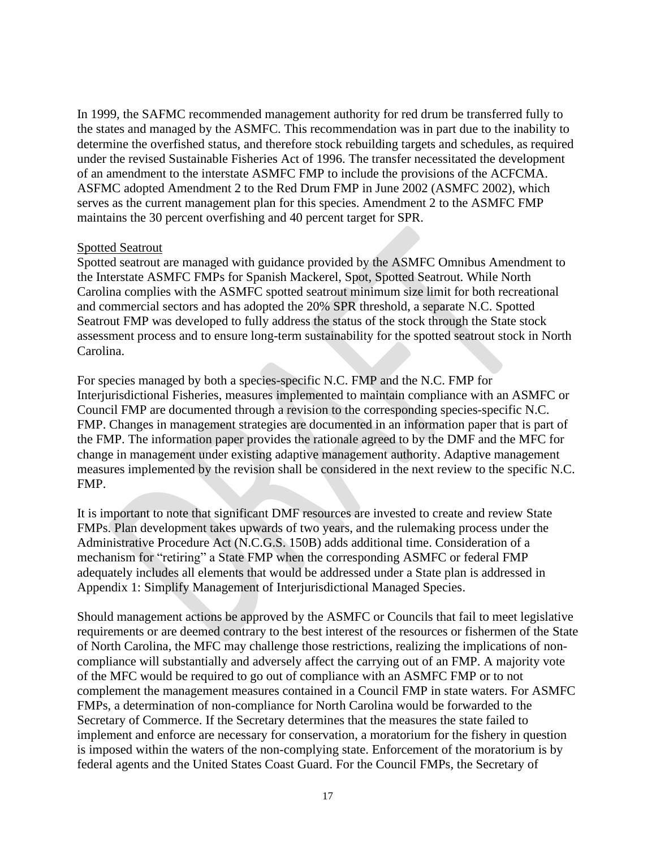In 1999, the SAFMC recommended management authority for red drum be transferred fully to the states and managed by the ASMFC. This recommendation was in part due to the inability to determine the overfished status, and therefore stock rebuilding targets and schedules, as required under the revised Sustainable Fisheries Act of 1996. The transfer necessitated the development of an amendment to the interstate ASMFC FMP to include the provisions of the ACFCMA. ASFMC adopted Amendment 2 to the Red Drum FMP in June 2002 (ASMFC 2002), which serves as the current management plan for this species. Amendment 2 to the ASMFC FMP maintains the 30 percent overfishing and 40 percent target for SPR.

### Spotted Seatrout

Spotted seatrout are managed with guidance provided by the ASMFC Omnibus Amendment to the Interstate ASMFC FMPs for Spanish Mackerel, Spot, Spotted Seatrout. While North Carolina complies with the ASMFC spotted seatrout minimum size limit for both recreational and commercial sectors and has adopted the 20% SPR threshold, a separate N.C. Spotted Seatrout FMP was developed to fully address the status of the stock through the State stock assessment process and to ensure long-term sustainability for the spotted seatrout stock in North Carolina.

For species managed by both a species-specific N.C. FMP and the N.C. FMP for Interjurisdictional Fisheries, measures implemented to maintain compliance with an ASMFC or Council FMP are documented through a revision to the corresponding species-specific N.C. FMP. Changes in management strategies are documented in an information paper that is part of the FMP. The information paper provides the rationale agreed to by the DMF and the MFC for change in management under existing adaptive management authority. Adaptive management measures implemented by the revision shall be considered in the next review to the specific N.C. FMP.

It is important to note that significant DMF resources are invested to create and review State FMPs. Plan development takes upwards of two years, and the rulemaking process under the Administrative Procedure Act (N.C.G.S. 150B) adds additional time. Consideration of a mechanism for "retiring" a State FMP when the corresponding ASMFC or federal FMP adequately includes all elements that would be addressed under a State plan is addressed in Appendix 1: Simplify Management of Interjurisdictional Managed Species.

Should management actions be approved by the ASMFC or Councils that fail to meet legislative requirements or are deemed contrary to the best interest of the resources or fishermen of the State of North Carolina, the MFC may challenge those restrictions, realizing the implications of noncompliance will substantially and adversely affect the carrying out of an FMP. A majority vote of the MFC would be required to go out of compliance with an ASMFC FMP or to not complement the management measures contained in a Council FMP in state waters. For ASMFC FMPs, a determination of non-compliance for North Carolina would be forwarded to the Secretary of Commerce. If the Secretary determines that the measures the state failed to implement and enforce are necessary for conservation, a moratorium for the fishery in question is imposed within the waters of the non-complying state. Enforcement of the moratorium is by federal agents and the United States Coast Guard. For the Council FMPs, the Secretary of